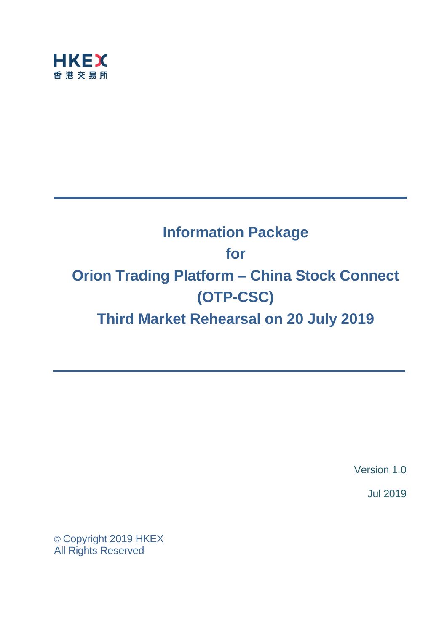

# **Information Package for Orion Trading Platform – China Stock Connect (OTP-CSC) Third Market Rehearsal on 20 July 2019**

Version 1.0

Jul 2019

© Copyright 2019 HKEX All Rights Reserved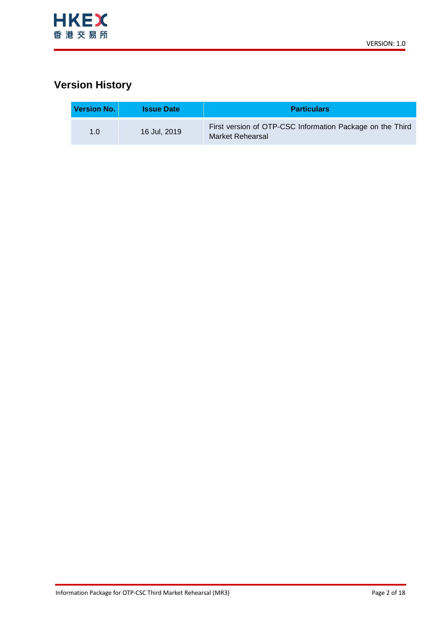

# **Version History**

| Version No. | <b>Issue Date</b> | <b>Particulars</b>                                                            |
|-------------|-------------------|-------------------------------------------------------------------------------|
| 1. $\Omega$ | 16 Jul, 2019      | First version of OTP-CSC Information Package on the Third<br>Market Rehearsal |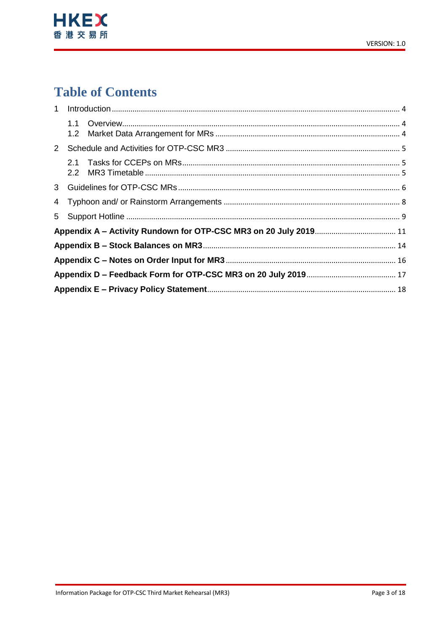

# **Table of Contents**

| $2^{\circ}$ |            |  |
|-------------|------------|--|
|             | 2.1<br>2.2 |  |
|             |            |  |
|             |            |  |
|             |            |  |
|             |            |  |
|             |            |  |
|             |            |  |
|             |            |  |
|             |            |  |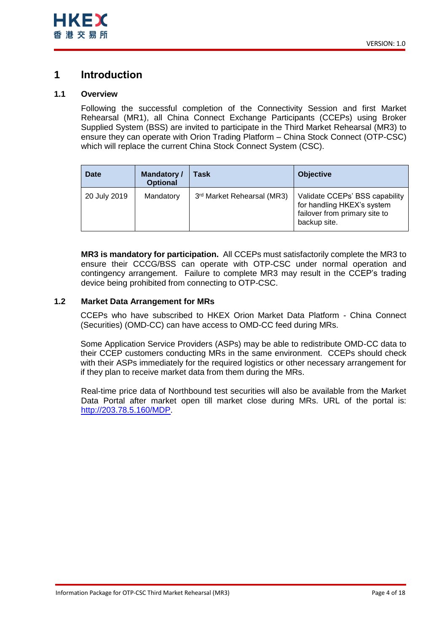## <span id="page-3-0"></span>**1 Introduction**

## <span id="page-3-1"></span>**1.1 Overview**

Following the successful completion of the Connectivity Session and first Market Rehearsal (MR1), all China Connect Exchange Participants (CCEPs) using Broker Supplied System (BSS) are invited to participate in the Third Market Rehearsal (MR3) to ensure they can operate with Orion Trading Platform – China Stock Connect (OTP-CSC) which will replace the current China Stock Connect System (CSC).

| <b>Date</b>  | <b>Mandatory /</b><br><b>Optional</b> | Task                       | <b>Objective</b>                                                                                              |
|--------------|---------------------------------------|----------------------------|---------------------------------------------------------------------------------------------------------------|
| 20 July 2019 | Mandatory                             | 3rd Market Rehearsal (MR3) | Validate CCEPs' BSS capability<br>for handling HKEX's system<br>failover from primary site to<br>backup site. |

**MR3 is mandatory for participation.** All CCEPs must satisfactorily complete the MR3 to ensure their CCCG/BSS can operate with OTP-CSC under normal operation and contingency arrangement. Failure to complete MR3 may result in the CCEP's trading device being prohibited from connecting to OTP-CSC.

## <span id="page-3-2"></span>**1.2 Market Data Arrangement for MRs**

CCEPs who have subscribed to HKEX Orion Market Data Platform - China Connect (Securities) (OMD-CC) can have access to OMD-CC feed during MRs.

Some Application Service Providers (ASPs) may be able to redistribute OMD-CC data to their CCEP customers conducting MRs in the same environment. CCEPs should check with their ASPs immediately for the required logistics or other necessary arrangement for if they plan to receive market data from them during the MRs.

Real-time price data of Northbound test securities will also be available from the Market Data Portal after market open till market close during MRs. URL of the portal is: [http://203.78.5.160/MDP.](http://203.78.5.160/MDP)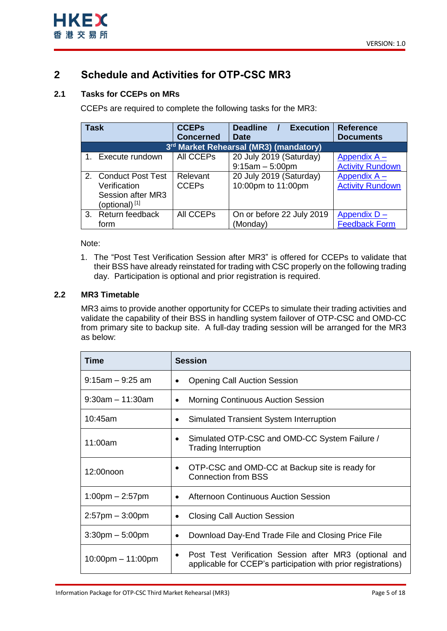

# <span id="page-4-0"></span>**2 Schedule and Activities for OTP-CSC MR3**

## <span id="page-4-1"></span>**2.1 Tasks for CCEPs on MRs**

CCEPs are required to complete the following tasks for the MR3:

| <b>Task</b>  |                           | <b>CCEPs</b>     | <b>Execution</b><br><b>Deadline</b>    | <b>Reference</b>        |
|--------------|---------------------------|------------------|----------------------------------------|-------------------------|
|              |                           | <b>Concerned</b> | <b>Date</b>                            | <b>Documents</b>        |
|              |                           |                  | 3rd Market Rehearsal (MR3) (mandatory) |                         |
|              | 1. Execute rundown        | All CCEPs        | 20 July 2019 (Saturday)                | Appendix $A -$          |
|              |                           |                  | $9:15am - 5:00pm$                      | <b>Activity Rundown</b> |
|              | 2. Conduct Post Test      | Relevant         | 20 July 2019 (Saturday)                | Appendix A -            |
| Verification |                           | <b>CCEPs</b>     | 10:00pm to 11:00pm                     | <b>Activity Rundown</b> |
|              | Session after MR3         |                  |                                        |                         |
|              | (optional) <sup>[1]</sup> |                  |                                        |                         |
|              | 3. Return feedback        | All CCEPs        | On or before 22 July 2019              | Appendix D-             |
|              | form                      |                  | (Monday)                               | <b>Feedback Form</b>    |

## Note:

1. The "Post Test Verification Session after MR3" is offered for CCEPs to validate that their BSS have already reinstated for trading with CSC properly on the following trading day. Participation is optional and prior registration is required.

## <span id="page-4-2"></span>**2.2 MR3 Timetable**

MR3 aims to provide another opportunity for CCEPs to simulate their trading activities and validate the capability of their BSS in handling system failover of OTP-CSC and OMD-CC from primary site to backup site. A full-day trading session will be arranged for the MR3 as below:

| Time                              | <b>Session</b>                                                                                                               |
|-----------------------------------|------------------------------------------------------------------------------------------------------------------------------|
| $9:15$ am $-9:25$ am              | <b>Opening Call Auction Session</b>                                                                                          |
| $9:30$ am $-11:30$ am             | <b>Morning Continuous Auction Session</b><br>$\bullet$                                                                       |
| 10:45am                           | Simulated Transient System Interruption<br>٠                                                                                 |
| 11:00am                           | Simulated OTP-CSC and OMD-CC System Failure /<br><b>Trading Interruption</b>                                                 |
| 12:00noon                         | OTP-CSC and OMD-CC at Backup site is ready for<br><b>Connection from BSS</b>                                                 |
| $1:00 \text{pm} - 2:57 \text{pm}$ | <b>Afternoon Continuous Auction Session</b>                                                                                  |
| $2:57$ pm $-3:00$ pm              | <b>Closing Call Auction Session</b><br>٠                                                                                     |
| $3:30$ pm $-5:00$ pm              | Download Day-End Trade File and Closing Price File<br>٠                                                                      |
| $10:00$ pm $-11:00$ pm            | Post Test Verification Session after MR3 (optional and<br>٠<br>applicable for CCEP's participation with prior registrations) |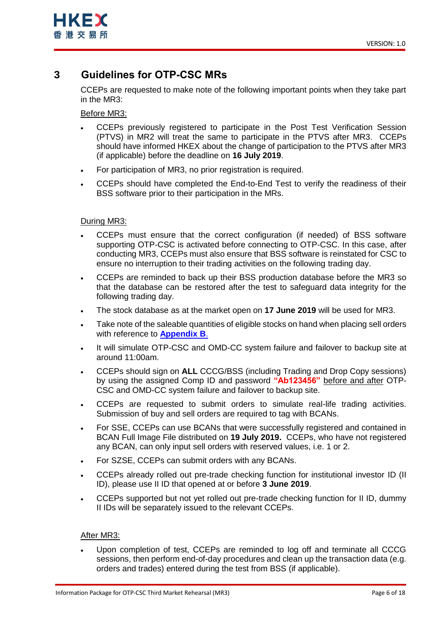

## <span id="page-5-0"></span>**3 Guidelines for OTP-CSC MRs**

CCEPs are requested to make note of the following important points when they take part in the MR3:

Before MR3:

- CCEPs previously registered to participate in the Post Test Verification Session (PTVS) in MR2 will treat the same to participate in the PTVS after MR3. CCEPs should have informed HKEX about the change of participation to the PTVS after MR3 (if applicable) before the deadline on **16 July 2019**.
- For participation of MR3, no prior registration is required.
- CCEPs should have completed the End-to-End Test to verify the readiness of their BSS software prior to their participation in the MRs.

## During MR3:

- CCEPs must ensure that the correct configuration (if needed) of BSS software supporting OTP-CSC is activated before connecting to OTP-CSC. In this case, after conducting MR3, CCEPs must also ensure that BSS software is reinstated for CSC to ensure no interruption to their trading activities on the following trading day.
- CCEPs are reminded to back up their BSS production database before the MR3 so that the database can be restored after the test to safeguard data integrity for the following trading day.
- The stock database as at the market open on **17 June 2019** will be used for MR3.
- Take note of the saleable quantities of eligible stocks on hand when placing sell orders with reference to **[Appendix B](#page-13-0)**.
- It will simulate OTP-CSC and OMD-CC system failure and failover to backup site at around 11:00am.
- CCEPs should sign on **ALL** CCCG/BSS (including Trading and Drop Copy sessions) by using the assigned Comp ID and password **"Ab123456"** before and after OTP-CSC and OMD-CC system failure and failover to backup site.
- CCEPs are requested to submit orders to simulate real-life trading activities. Submission of buy and sell orders are required to tag with BCANs.
- For SSE, CCEPs can use BCANs that were successfully registered and contained in BCAN Full Image File distributed on **19 July 2019.** CCEPs, who have not registered any BCAN, can only input sell orders with reserved values, i.e. 1 or 2.
- For SZSE, CCEPs can submit orders with any BCANs.
- CCEPs already rolled out pre-trade checking function for institutional investor ID (II ID), please use II ID that opened at or before **3 June 2019**.
- CCEPs supported but not yet rolled out pre-trade checking function for II ID, dummy II IDs will be separately issued to the relevant CCEPs.

### After MR3:

 Upon completion of test, CCEPs are reminded to log off and terminate all CCCG sessions, then perform end-of-day procedures and clean up the transaction data (e.g. orders and trades) entered during the test from BSS (if applicable).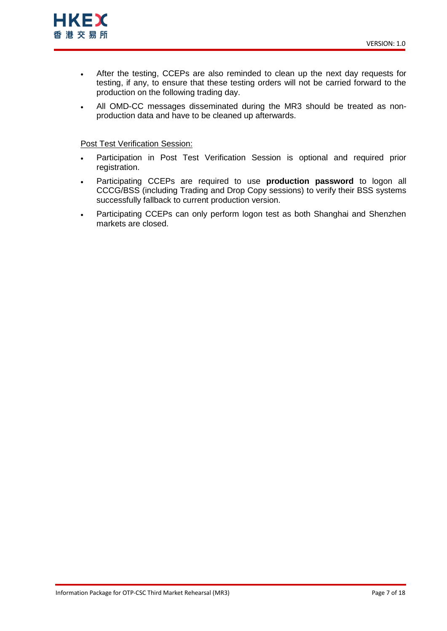

- After the testing, CCEPs are also reminded to clean up the next day requests for testing, if any, to ensure that these testing orders will not be carried forward to the production on the following trading day.
- All OMD-CC messages disseminated during the MR3 should be treated as nonproduction data and have to be cleaned up afterwards.

### Post Test Verification Session:

- Participation in Post Test Verification Session is optional and required prior registration.
- Participating CCEPs are required to use **production password** to logon all CCCG/BSS (including Trading and Drop Copy sessions) to verify their BSS systems successfully fallback to current production version.
- Participating CCEPs can only perform logon test as both Shanghai and Shenzhen markets are closed.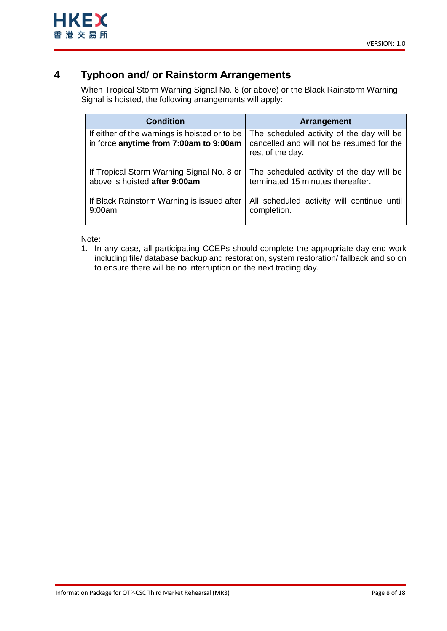# <span id="page-7-0"></span>**4 Typhoon and/ or Rainstorm Arrangements**

When Tropical Storm Warning Signal No. 8 (or above) or the Black Rainstorm Warning Signal is hoisted, the following arrangements will apply:

| <b>Condition</b>                                                                        | <b>Arrangement</b>                                                                                         |
|-----------------------------------------------------------------------------------------|------------------------------------------------------------------------------------------------------------|
| If either of the warnings is hoisted or to be<br>in force anytime from 7:00am to 9:00am | The scheduled activity of the day will be<br>cancelled and will not be resumed for the<br>rest of the day. |
| If Tropical Storm Warning Signal No. 8 or                                               | The scheduled activity of the day will be                                                                  |
| above is hoisted after 9:00am                                                           | terminated 15 minutes thereafter.                                                                          |
| If Black Rainstorm Warning is issued after                                              | All scheduled activity will continue until                                                                 |
| 9:00am                                                                                  | completion.                                                                                                |

Note:

1. In any case, all participating CCEPs should complete the appropriate day-end work including file/ database backup and restoration, system restoration/ fallback and so on to ensure there will be no interruption on the next trading day.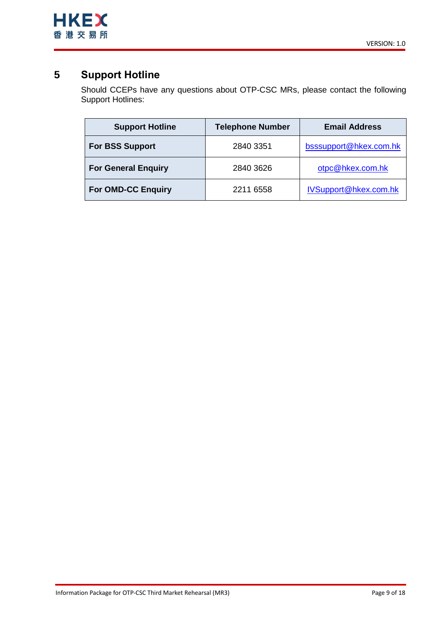

# <span id="page-8-0"></span>**5 Support Hotline**

Should CCEPs have any questions about OTP-CSC MRs, please contact the following Support Hotlines:

| <b>Support Hotline</b>     | <b>Telephone Number</b> | <b>Email Address</b>   |
|----------------------------|-------------------------|------------------------|
| <b>For BSS Support</b>     | 2840 3351               | bsssupport@hkex.com.hk |
| <b>For General Enquiry</b> | 2840 3626               | otpc@hkex.com.hk       |
| <b>For OMD-CC Enquiry</b>  | 2211 6558               | IVSupport@hkex.com.hk  |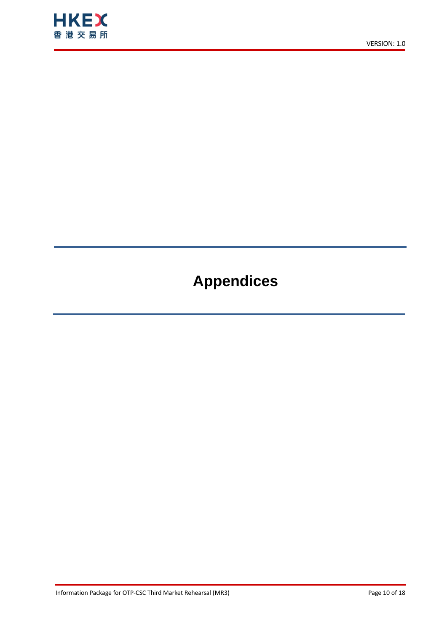

# **Appendices**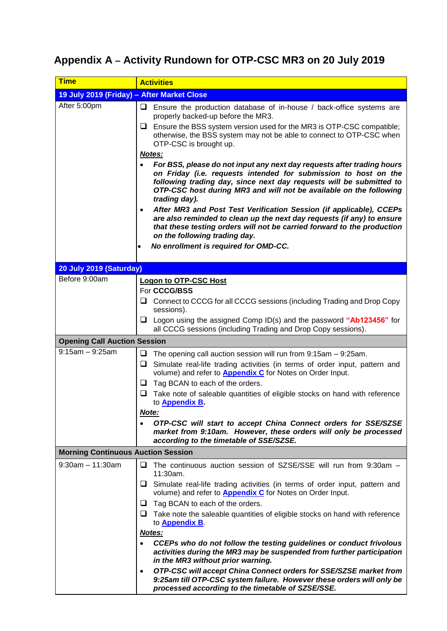# <span id="page-10-1"></span><span id="page-10-0"></span>**Appendix A – Activity Rundown for OTP-CSC MR3 on 20 July 2019**

| <b>Time</b>                                | <b>Activities</b>                                                                                                                                                                                                                                                                                       |  |  |  |
|--------------------------------------------|---------------------------------------------------------------------------------------------------------------------------------------------------------------------------------------------------------------------------------------------------------------------------------------------------------|--|--|--|
| 19 July 2019 (Friday) - After Market Close |                                                                                                                                                                                                                                                                                                         |  |  |  |
| After 5:00pm                               | $\Box$ Ensure the production database of in-house / back-office systems are<br>properly backed-up before the MR3.                                                                                                                                                                                       |  |  |  |
|                                            | $\Box$ Ensure the BSS system version used for the MR3 is OTP-CSC compatible;<br>otherwise, the BSS system may not be able to connect to OTP-CSC when<br>OTP-CSC is brought up.                                                                                                                          |  |  |  |
|                                            | Notes:                                                                                                                                                                                                                                                                                                  |  |  |  |
|                                            | For BSS, please do not input any next day requests after trading hours<br>on Friday (i.e. requests intended for submission to host on the<br>following trading day, since next day requests will be submitted to<br>OTP-CSC host during MR3 and will not be available on the following<br>trading day). |  |  |  |
|                                            | After MR3 and Post Test Verification Session (if applicable), CCEPs<br>are also reminded to clean up the next day requests (if any) to ensure<br>that these testing orders will not be carried forward to the production<br>on the following trading day.                                               |  |  |  |
|                                            | No enrollment is required for OMD-CC.<br>$\bullet$                                                                                                                                                                                                                                                      |  |  |  |
| 20 July 2019 (Saturday)                    |                                                                                                                                                                                                                                                                                                         |  |  |  |
| Before 9:00am                              | <b>Logon to OTP-CSC Host</b>                                                                                                                                                                                                                                                                            |  |  |  |
|                                            | For CCCG/BSS                                                                                                                                                                                                                                                                                            |  |  |  |
|                                            | $\Box$ Connect to CCCG for all CCCG sessions (including Trading and Drop Copy<br>sessions).                                                                                                                                                                                                             |  |  |  |
|                                            | $\Box$ Logon using the assigned Comp ID(s) and the password "Ab123456" for<br>all CCCG sessions (including Trading and Drop Copy sessions).                                                                                                                                                             |  |  |  |
| <b>Opening Call Auction Session</b>        |                                                                                                                                                                                                                                                                                                         |  |  |  |
| $9:15am - 9:25am$                          | The opening call auction session will run from 9:15am - 9:25am.<br>❏                                                                                                                                                                                                                                    |  |  |  |
|                                            | ❏<br>Simulate real-life trading activities (in terms of order input, pattern and<br>volume) and refer to <b>Appendix C</b> for Notes on Order Input.                                                                                                                                                    |  |  |  |
|                                            | Tag BCAN to each of the orders.<br>┙                                                                                                                                                                                                                                                                    |  |  |  |
|                                            | Take note of saleable quantities of eligible stocks on hand with reference<br>u<br>to <b>Appendix B</b> .                                                                                                                                                                                               |  |  |  |
|                                            | <u>Note:</u>                                                                                                                                                                                                                                                                                            |  |  |  |
|                                            | OTP-CSC will start to accept China Connect orders for SSE/SZSE<br>market from 9:10am. However, these orders will only be processed<br>according to the timetable of SSE/SZSE.                                                                                                                           |  |  |  |
| <b>Morning Continuous Auction Session</b>  |                                                                                                                                                                                                                                                                                                         |  |  |  |
| $9:30$ am $-11:30$ am                      | $\Box$ The continuous auction session of SZSE/SSE will run from 9:30am $-$<br>11:30am.                                                                                                                                                                                                                  |  |  |  |
|                                            | $\Box$ Simulate real-life trading activities (in terms of order input, pattern and<br>volume) and refer to <b>Appendix C</b> for Notes on Order Input.                                                                                                                                                  |  |  |  |
|                                            | $\Box$ Tag BCAN to each of the orders.                                                                                                                                                                                                                                                                  |  |  |  |
|                                            | $\Box$ Take note the saleable quantities of eligible stocks on hand with reference<br>to <b>Appendix B</b> .                                                                                                                                                                                            |  |  |  |
|                                            | Notes:                                                                                                                                                                                                                                                                                                  |  |  |  |
|                                            | CCEPs who do not follow the testing guidelines or conduct frivolous<br>activities during the MR3 may be suspended from further participation<br>in the MR3 without prior warning.                                                                                                                       |  |  |  |
|                                            | OTP-CSC will accept China Connect orders for SSE/SZSE market from<br>$\bullet$<br>9:25am till OTP-CSC system failure. However these orders will only be<br>processed according to the timetable of SZSE/SSE.                                                                                            |  |  |  |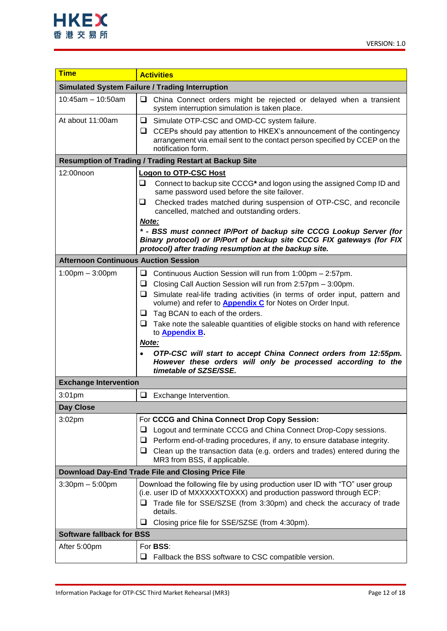

| <b>Time</b>                                                                                                                | <b>Activities</b>                                                                                                                                                                                                                                                                                                                                                                                                                                                                                                                                                                                                                                                                                                                                                                |  |  |  |  |  |
|----------------------------------------------------------------------------------------------------------------------------|----------------------------------------------------------------------------------------------------------------------------------------------------------------------------------------------------------------------------------------------------------------------------------------------------------------------------------------------------------------------------------------------------------------------------------------------------------------------------------------------------------------------------------------------------------------------------------------------------------------------------------------------------------------------------------------------------------------------------------------------------------------------------------|--|--|--|--|--|
|                                                                                                                            | <b>Simulated System Failure / Trading Interruption</b>                                                                                                                                                                                                                                                                                                                                                                                                                                                                                                                                                                                                                                                                                                                           |  |  |  |  |  |
| $10:45am - 10:50am$                                                                                                        | ❏<br>China Connect orders might be rejected or delayed when a transient<br>system interruption simulation is taken place.                                                                                                                                                                                                                                                                                                                                                                                                                                                                                                                                                                                                                                                        |  |  |  |  |  |
| At about 11:00am                                                                                                           | □ Simulate OTP-CSC and OMD-CC system failure.<br>$\Box$ CCEPs should pay attention to HKEX's announcement of the contingency<br>arrangement via email sent to the contact person specified by CCEP on the<br>notification form.                                                                                                                                                                                                                                                                                                                                                                                                                                                                                                                                                  |  |  |  |  |  |
|                                                                                                                            | <b>Resumption of Trading / Trading Restart at Backup Site</b>                                                                                                                                                                                                                                                                                                                                                                                                                                                                                                                                                                                                                                                                                                                    |  |  |  |  |  |
| 12:00noon                                                                                                                  | <b>Logon to OTP-CSC Host</b>                                                                                                                                                                                                                                                                                                                                                                                                                                                                                                                                                                                                                                                                                                                                                     |  |  |  |  |  |
|                                                                                                                            | ❏<br>Connect to backup site CCCG* and logon using the assigned Comp ID and<br>same password used before the site failover.                                                                                                                                                                                                                                                                                                                                                                                                                                                                                                                                                                                                                                                       |  |  |  |  |  |
|                                                                                                                            | Checked trades matched during suspension of OTP-CSC, and reconcile<br>❏<br>cancelled, matched and outstanding orders.                                                                                                                                                                                                                                                                                                                                                                                                                                                                                                                                                                                                                                                            |  |  |  |  |  |
|                                                                                                                            | Note:<br>* - BSS must connect IP/Port of backup site CCCG Lookup Server (for<br>Binary protocol) or IP/Port of backup site CCCG FIX gateways (for FIX<br>protocol) after trading resumption at the backup site.                                                                                                                                                                                                                                                                                                                                                                                                                                                                                                                                                                  |  |  |  |  |  |
| <b>Afternoon Continuous Auction Session</b>                                                                                |                                                                                                                                                                                                                                                                                                                                                                                                                                                                                                                                                                                                                                                                                                                                                                                  |  |  |  |  |  |
| $1:00 \text{pm} - 3:00 \text{pm}$<br><b>Exchange Intervention</b><br>3:01 <sub>pm</sub><br>Day Close<br>3:02 <sub>pm</sub> | Continuous Auction Session will run from 1:00pm - 2:57pm.<br>u<br>Closing Call Auction Session will run from 2:57pm - 3:00pm.<br>u<br>$\Box$ Simulate real-life trading activities (in terms of order input, pattern and<br>volume) and refer to <b>Appendix C</b> for Notes on Order Input.<br>Tag BCAN to each of the orders.<br>⊔<br>Take note the saleable quantities of eligible stocks on hand with reference<br>⊔<br>to <b>Appendix B</b><br>Note:<br>OTP-CSC will start to accept China Connect orders from 12:55pm.<br>However these orders will only be processed according to the<br>timetable of SZSE/SSE.<br>$\Box$ Exchange Intervention.<br>For CCCG and China Connect Drop Copy Session:<br>Logout and terminate CCCG and China Connect Drop-Copy sessions.<br>⊔ |  |  |  |  |  |
|                                                                                                                            | Perform end-of-trading procedures, if any, to ensure database integrity.<br>❏<br>Clean up the transaction data (e.g. orders and trades) entered during the<br>⊔.<br>MR3 from BSS, if applicable.                                                                                                                                                                                                                                                                                                                                                                                                                                                                                                                                                                                 |  |  |  |  |  |
|                                                                                                                            | <b>Download Day-End Trade File and Closing Price File</b>                                                                                                                                                                                                                                                                                                                                                                                                                                                                                                                                                                                                                                                                                                                        |  |  |  |  |  |
| $3:30$ pm $-5:00$ pm                                                                                                       | Download the following file by using production user ID with "TO" user group<br>(i.e. user ID of MXXXXXTOXXX) and production password through ECP:<br>Trade file for SSE/SZSE (from 3:30pm) and check the accuracy of trade<br>details.<br>Closing price file for SSE/SZSE (from 4:30pm).<br>⊔                                                                                                                                                                                                                                                                                                                                                                                                                                                                                   |  |  |  |  |  |
|                                                                                                                            | <b>Software fallback for BSS</b>                                                                                                                                                                                                                                                                                                                                                                                                                                                                                                                                                                                                                                                                                                                                                 |  |  |  |  |  |
| After 5:00pm                                                                                                               | For <b>BSS:</b><br>Fallback the BSS software to CSC compatible version.<br>ப                                                                                                                                                                                                                                                                                                                                                                                                                                                                                                                                                                                                                                                                                                     |  |  |  |  |  |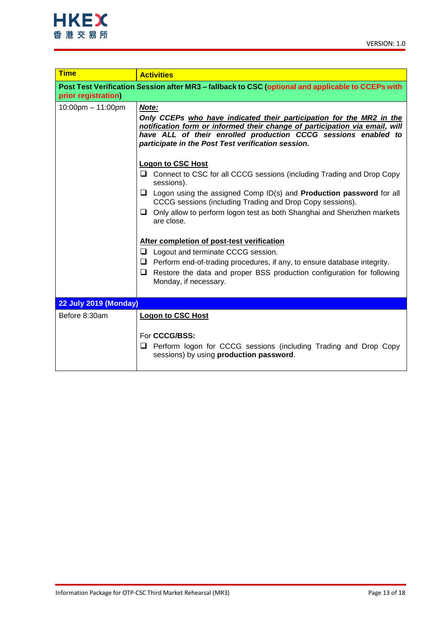| <b>Time</b>                                                                                                              | <b>Activities</b>                                                                                                                                                                                                                                                                    |  |  |  |  |
|--------------------------------------------------------------------------------------------------------------------------|--------------------------------------------------------------------------------------------------------------------------------------------------------------------------------------------------------------------------------------------------------------------------------------|--|--|--|--|
| Post Test Verification Session after MR3 - fallback to CSC (optional and applicable to CCEPs with<br>prior registration) |                                                                                                                                                                                                                                                                                      |  |  |  |  |
| $10:00$ pm $- 11:00$ pm                                                                                                  | Note:<br>Only CCEPs who have indicated their participation for the MR2 in the<br>notification form or informed their change of participation via email, will<br>have ALL of their enrolled production CCCG sessions enabled to<br>participate in the Post Test verification session. |  |  |  |  |
|                                                                                                                          | <b>Logon to CSC Host</b><br>□ Connect to CSC for all CCCG sessions (including Trading and Drop Copy<br>sessions).                                                                                                                                                                    |  |  |  |  |
|                                                                                                                          | $\Box$ Logon using the assigned Comp ID(s) and <b>Production password</b> for all<br>CCCG sessions (including Trading and Drop Copy sessions).                                                                                                                                       |  |  |  |  |
|                                                                                                                          | $\Box$ Only allow to perform logon test as both Shanghai and Shenzhen markets<br>are close.                                                                                                                                                                                          |  |  |  |  |
|                                                                                                                          | After completion of post-test verification                                                                                                                                                                                                                                           |  |  |  |  |
|                                                                                                                          | ❏<br>Logout and terminate CCCG session.                                                                                                                                                                                                                                              |  |  |  |  |
|                                                                                                                          | $\Box$ Perform end-of-trading procedures, if any, to ensure database integrity.                                                                                                                                                                                                      |  |  |  |  |
|                                                                                                                          | Restore the data and proper BSS production configuration for following<br>□<br>Monday, if necessary.                                                                                                                                                                                 |  |  |  |  |
| <b>22 July 2019 (Monday)</b>                                                                                             |                                                                                                                                                                                                                                                                                      |  |  |  |  |
| Before 8:30am                                                                                                            | <b>Logon to CSC Host</b><br>For CCCG/BSS:                                                                                                                                                                                                                                            |  |  |  |  |
|                                                                                                                          | Perform logon for CCCG sessions (including Trading and Drop Copy<br>❏<br>sessions) by using production password.                                                                                                                                                                     |  |  |  |  |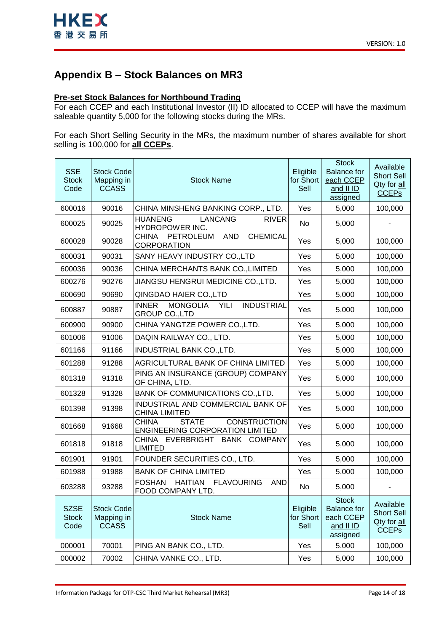

# <span id="page-13-0"></span>**Appendix B – Stock Balances on MR3**

## **Pre-set Stock Balances for Northbound Trading**

For each CCEP and each Institutional Investor (II) ID allocated to CCEP will have the maximum saleable quantity 5,000 for the following stocks during the MRs.

For each Short Selling Security in the MRs, the maximum number of shares available for short selling is 100,000 for **all CCEPs**.

| <b>SSE</b><br><b>Stock</b><br>Code  | <b>Stock Code</b><br>Mapping in<br><b>CCASS</b> | <b>Stock Name</b>                                                                             | Eligible<br>for Short<br>Sell | <b>Stock</b><br><b>Balance</b> for<br>each CCEP<br>and II ID<br>assigned | Available<br><b>Short Sell</b><br>Qty for all<br><b>CCEP<sub>s</sub></b> |
|-------------------------------------|-------------------------------------------------|-----------------------------------------------------------------------------------------------|-------------------------------|--------------------------------------------------------------------------|--------------------------------------------------------------------------|
| 600016                              | 90016                                           | CHINA MINSHENG BANKING CORP., LTD.                                                            | Yes                           | 5,000                                                                    | 100,000                                                                  |
| 600025                              | 90025                                           | <b>LANCANG</b><br><b>HUANENG</b><br><b>RIVER</b><br>HYDROPOWER INC.                           | No                            | 5,000                                                                    |                                                                          |
| 600028                              | 90028                                           | <b>CHEMICAL</b><br><b>AND</b><br><b>CHINA</b><br>PETROLEUM<br>CORPORATION                     | Yes                           | 5,000                                                                    | 100,000                                                                  |
| 600031                              | 90031                                           | SANY HEAVY INDUSTRY CO., LTD                                                                  | Yes                           | 5,000                                                                    | 100,000                                                                  |
| 600036                              | 90036                                           | CHINA MERCHANTS BANK CO., LIMITED                                                             | Yes                           | 5,000                                                                    | 100,000                                                                  |
| 600276                              | 90276                                           | JIANGSU HENGRUI MEDICINE CO.,LTD.                                                             | Yes                           | 5,000                                                                    | 100,000                                                                  |
| 600690                              | 90690                                           | QINGDAO HAIER CO.,LTD                                                                         | Yes                           | 5,000                                                                    | 100,000                                                                  |
| 600887                              | 90887                                           | <b>MONGOLIA</b><br><b>INDUSTRIAL</b><br><b>INNER</b><br><b>YILI</b><br><b>GROUP CO., LTD</b>  | Yes                           | 5,000                                                                    | 100,000                                                                  |
| 600900                              | 90900                                           | CHINA YANGTZE POWER CO.,LTD.                                                                  | Yes                           | 5,000                                                                    | 100,000                                                                  |
| 601006                              | 91006                                           | DAQIN RAILWAY CO., LTD.                                                                       | Yes                           | 5,000                                                                    | 100,000                                                                  |
| 601166                              | 91166                                           | INDUSTRIAL BANK CO., LTD.                                                                     | Yes                           | 5,000                                                                    | 100,000                                                                  |
| 601288                              | 91288                                           | AGRICULTURAL BANK OF CHINA LIMITED                                                            | Yes                           | 5,000                                                                    | 100,000                                                                  |
| 601318                              | 91318                                           | PING AN INSURANCE (GROUP) COMPANY<br>OF CHINA, LTD.                                           | Yes                           | 5,000                                                                    | 100,000                                                                  |
| 601328                              | 91328                                           | BANK OF COMMUNICATIONS CO., LTD.                                                              | Yes                           | 5,000                                                                    | 100,000                                                                  |
| 601398                              | 91398                                           | INDUSTRIAL AND COMMERCIAL BANK OF<br><b>CHINA LIMITED</b>                                     | Yes                           | 5,000                                                                    | 100,000                                                                  |
| 601668                              | 91668                                           | <b>CHINA</b><br><b>STATE</b><br><b>CONSTRUCTION</b><br><b>ENGINEERING CORPORATION LIMITED</b> | Yes                           | 5,000                                                                    | 100,000                                                                  |
| 601818                              | 91818                                           | CHINA EVERBRIGHT BANK COMPANY<br><b>LIMITED</b>                                               | Yes                           | 5,000                                                                    | 100,000                                                                  |
| 601901                              | 91901                                           | FOUNDER SECURITIES CO., LTD.                                                                  | Yes                           | 5,000                                                                    | 100,000                                                                  |
| 601988                              | 91988                                           | <b>BANK OF CHINA LIMITED</b>                                                                  | Yes                           | 5,000                                                                    | 100,000                                                                  |
| 603288                              | 93288                                           | <b>FOSHAN</b><br><b>HAITIAN</b><br><b>FLAVOURING</b><br><b>AND</b><br>FOOD COMPANY LTD.       | No                            | 5,000                                                                    |                                                                          |
| <b>SZSE</b><br><b>Stock</b><br>Code | <b>Stock Code</b><br>Mapping in<br><b>CCASS</b> | <b>Stock Name</b>                                                                             | Eligible<br>for Short<br>Sell | <b>Stock</b><br><b>Balance</b> for<br>each CCEP<br>and II ID<br>assigned | Available<br><b>Short Sell</b><br>Qty for all<br><b>CCEP<sub>s</sub></b> |
| 000001                              | 70001                                           | PING AN BANK CO., LTD.                                                                        | Yes                           | 5,000                                                                    | 100,000                                                                  |
| 000002                              | 70002                                           | CHINA VANKE CO., LTD.                                                                         | Yes                           | 5,000                                                                    | 100,000                                                                  |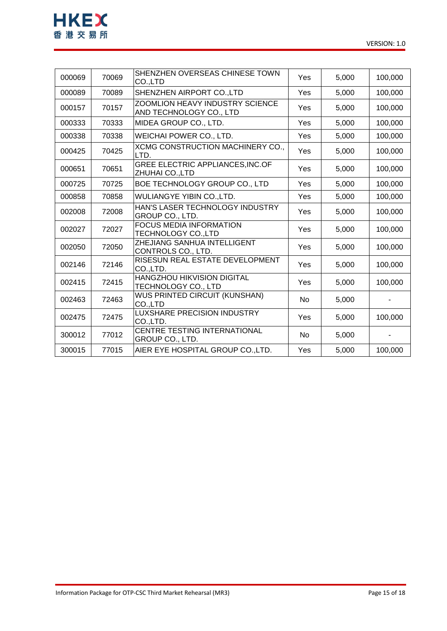

| 000069 | 70069 | SHENZHEN OVERSEAS CHINESE TOWN<br>CO.,LTD                         | Yes | 5,000 | 100,000 |
|--------|-------|-------------------------------------------------------------------|-----|-------|---------|
| 000089 | 70089 | SHENZHEN AIRPORT CO., LTD                                         | Yes | 5,000 | 100,000 |
| 000157 | 70157 | <b>ZOOMLION HEAVY INDUSTRY SCIENCE</b><br>AND TECHNOLOGY CO., LTD | Yes | 5,000 | 100,000 |
| 000333 | 70333 | MIDEA GROUP CO., LTD.                                             | Yes | 5,000 | 100,000 |
| 000338 | 70338 | <b>WEICHAI POWER CO., LTD.</b>                                    | Yes | 5,000 | 100,000 |
| 000425 | 70425 | XCMG CONSTRUCTION MACHINERY CO.,<br>LTD.                          | Yes | 5,000 | 100,000 |
| 000651 | 70651 | <b>GREE ELECTRIC APPLIANCES, INC.OF</b><br>ZHUHAI CO.,LTD         | Yes | 5,000 | 100,000 |
| 000725 | 70725 | BOE TECHNOLOGY GROUP CO., LTD                                     | Yes | 5,000 | 100,000 |
| 000858 | 70858 | <b>WULIANGYE YIBIN CO., LTD.</b>                                  | Yes | 5,000 | 100,000 |
| 002008 | 72008 | HAN'S LASER TECHNOLOGY INDUSTRY<br>GROUP CO., LTD.                | Yes | 5,000 | 100,000 |
| 002027 | 72027 | <b>FOCUS MEDIA INFORMATION</b><br>TECHNOLOGY CO.,LTD              | Yes | 5,000 | 100,000 |
| 002050 | 72050 | ZHEJIANG SANHUA INTELLIGENT<br>CONTROLS CO., LTD.                 | Yes | 5,000 | 100,000 |
| 002146 | 72146 | RISESUN REAL ESTATE DEVELOPMENT<br>CO.,LTD.                       | Yes | 5,000 | 100,000 |
| 002415 | 72415 | <b>HANGZHOU HIKVISION DIGITAL</b><br>TECHNOLOGY CO., LTD          | Yes | 5,000 | 100,000 |
| 002463 | 72463 | WUS PRINTED CIRCUIT (KUNSHAN)<br>CO.,LTD                          | No  | 5,000 |         |
| 002475 | 72475 | <b>LUXSHARE PRECISION INDUSTRY</b><br>CO.,LTD.                    | Yes | 5,000 | 100,000 |
| 300012 | 77012 | CENTRE TESTING INTERNATIONAL<br>GROUP CO., LTD.                   | No  | 5,000 |         |
| 300015 | 77015 | AIER EYE HOSPITAL GROUP CO.,LTD.                                  | Yes | 5,000 | 100,000 |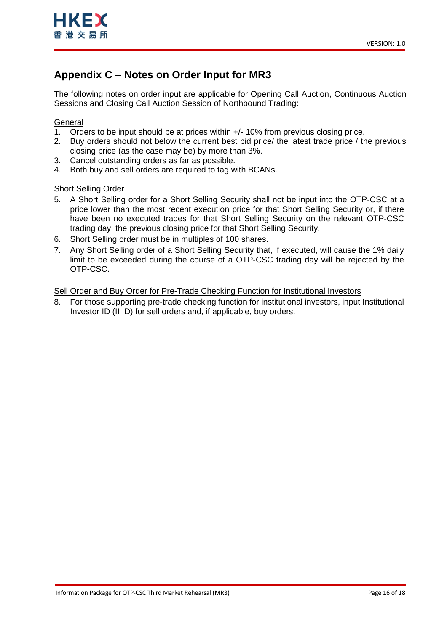# <span id="page-15-1"></span><span id="page-15-0"></span>**Appendix C – Notes on Order Input for MR3**

The following notes on order input are applicable for Opening Call Auction, Continuous Auction Sessions and Closing Call Auction Session of Northbound Trading:

## **General**

- 1. Orders to be input should be at prices within +/- 10% from previous closing price.
- 2. Buy orders should not below the current best bid price/ the latest trade price / the previous closing price (as the case may be) by more than 3%.
- 3. Cancel outstanding orders as far as possible.
- 4. Both buy and sell orders are required to tag with BCANs.

## Short Selling Order

- 5. A Short Selling order for a Short Selling Security shall not be input into the OTP-CSC at a price lower than the most recent execution price for that Short Selling Security or, if there have been no executed trades for that Short Selling Security on the relevant OTP-CSC trading day, the previous closing price for that Short Selling Security.
- 6. Short Selling order must be in multiples of 100 shares.
- 7. Any Short Selling order of a Short Selling Security that, if executed, will cause the 1% daily limit to be exceeded during the course of a OTP-CSC trading day will be rejected by the OTP-CSC.

## Sell Order and Buy Order for Pre-Trade Checking Function for Institutional Investors

8. For those supporting pre-trade checking function for institutional investors, input Institutional Investor ID (II ID) for sell orders and, if applicable, buy orders.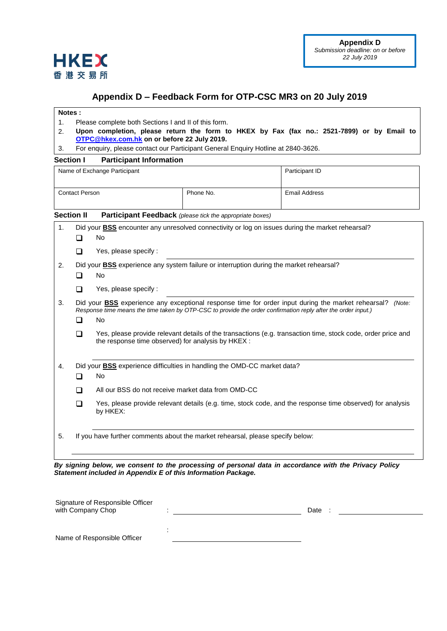

## <span id="page-16-1"></span>**Appendix D – Feedback Form for OTP-CSC MR3 on 20 July 2019**

#### <span id="page-16-0"></span>**Notes :**

- 1. Please complete both Sections I and II of this form.
- 2. **Upon completion, please return the form to HKEX by Fax (fax no.: 2521-7899) or by Email to [OTPC@hkex.com.hk](mailto:OTPC@hkex.com.hk) on or before 22 July 2019.**
- 3. For enquiry, please contact our Participant General Enquiry Hotline at 2840-3626.

### **Section I Participant Information**

| Name of Exchange Participant |                                                                                                         |                                                                                                                                                                                                                                                                                                                                                                                                        |           | Participant ID                                                                                            |  |  |  |
|------------------------------|---------------------------------------------------------------------------------------------------------|--------------------------------------------------------------------------------------------------------------------------------------------------------------------------------------------------------------------------------------------------------------------------------------------------------------------------------------------------------------------------------------------------------|-----------|-----------------------------------------------------------------------------------------------------------|--|--|--|
| <b>Contact Person</b>        |                                                                                                         |                                                                                                                                                                                                                                                                                                                                                                                                        | Phone No. | <b>Email Address</b>                                                                                      |  |  |  |
|                              | <b>Section II</b>                                                                                       | <b>Participant Feedback</b> (please tick the appropriate boxes)                                                                                                                                                                                                                                                                                                                                        |           |                                                                                                           |  |  |  |
| 1.                           | Did your <b>BSS</b> encounter any unresolved connectivity or log on issues during the market rehearsal? |                                                                                                                                                                                                                                                                                                                                                                                                        |           |                                                                                                           |  |  |  |
|                              | □                                                                                                       | No                                                                                                                                                                                                                                                                                                                                                                                                     |           |                                                                                                           |  |  |  |
|                              | $\sqcup$                                                                                                | Yes, please specify:                                                                                                                                                                                                                                                                                                                                                                                   |           |                                                                                                           |  |  |  |
| 2.                           | Did your <b>BSS</b> experience any system failure or interruption during the market rehearsal?          |                                                                                                                                                                                                                                                                                                                                                                                                        |           |                                                                                                           |  |  |  |
|                              | ப                                                                                                       | No                                                                                                                                                                                                                                                                                                                                                                                                     |           |                                                                                                           |  |  |  |
|                              | ◻                                                                                                       | Yes, please specify :                                                                                                                                                                                                                                                                                                                                                                                  |           |                                                                                                           |  |  |  |
| 3.                           | ◻<br>□                                                                                                  | Did your BSS experience any exceptional response time for order input during the market rehearsal? (Note:<br>Response time means the time taken by OTP-CSC to provide the order confirmation reply after the order input.)<br>No<br>Yes, please provide relevant details of the transactions (e.g. transaction time, stock code, order price and<br>the response time observed) for analysis by HKEX : |           |                                                                                                           |  |  |  |
| 4.                           |                                                                                                         | Did your <b>BSS</b> experience difficulties in handling the OMD-CC market data?                                                                                                                                                                                                                                                                                                                        |           |                                                                                                           |  |  |  |
|                              | □                                                                                                       | No                                                                                                                                                                                                                                                                                                                                                                                                     |           |                                                                                                           |  |  |  |
|                              | ப                                                                                                       | All our BSS do not receive market data from OMD-CC                                                                                                                                                                                                                                                                                                                                                     |           |                                                                                                           |  |  |  |
|                              | □                                                                                                       | by HKEX:                                                                                                                                                                                                                                                                                                                                                                                               |           | Yes, please provide relevant details (e.g. time, stock code, and the response time observed) for analysis |  |  |  |
| 5.                           | If you have further comments about the market rehearsal, please specify below:                          |                                                                                                                                                                                                                                                                                                                                                                                                        |           |                                                                                                           |  |  |  |
|                              |                                                                                                         |                                                                                                                                                                                                                                                                                                                                                                                                        |           | Pu cianing bolow, we consent to the processing of personal data in accordance with the Privacy Policy     |  |  |  |

*By signing below, we consent to the processing of personal data in accordance with the Privacy Policy Statement included in Appendix E of this Information Package.*

| Signature of Responsible Officer<br>with Company Chop | Date |
|-------------------------------------------------------|------|
|                                                       |      |
| Name of Responsible Officer                           |      |